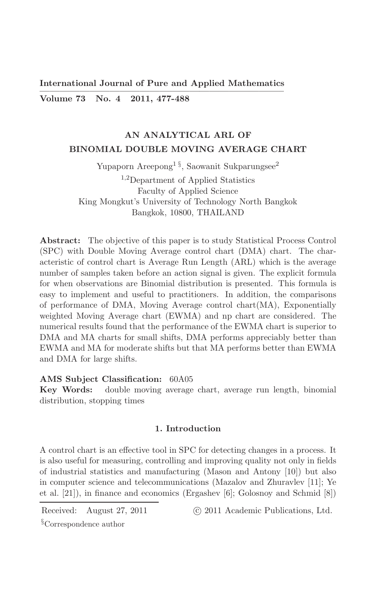**International Journal of Pure and Applied Mathematics** 

Volume 73 No. 4 2011, 477-488

# AN ANALYTICAL ARL OF BINOMIAL DOUBLE MOVING AVERAGE CHART

Yupaporn Areepong<sup>1 §</sup>, Saowanit Sukparungsee<sup>2</sup>

 $1,2$ Department of Applied Statistics Faculty of Applied Science King Mongkut's University of Technology North Bangkok Bangkok, 10800, THAILAND

**Abstract:** The objective of this paper is to study Statistical Process Control (SPC) with Double Moving Average control chart (DMA) chart. The characteristic of control chart is Average Run Length (ARL) which is the average number of samples taken before an action signal is given. The explicit formula for when observations are Binomial distribution is presented. This formula is easy to implement and useful to practitioners. In addition, the comparisons of performance of DMA, Moving Average control chart(MA), Exponentially weighted Moving Average chart (EWMA) and np chart are considered. The numerical results found that the performance of the EWMA chart is superior to DMA and MA charts for small shifts, DMA performs appreciably better than EWMA and MA for moderate shifts but that MA performs better than EWMA and DMA for large shifts.

## AMS Subject Classification: 60A05

Key Words: double moving average chart, average run length, binomial distribution, stopping times

### 1. Introduction

A control chart is an effective tool in SPC for detecting changes in a process. It is also useful for measuring, controlling and improving quality not only in fields of industrial statistics and manufacturing (Mason and Antony [10]) but also in computer science and telecommunications (Mazalov and Zhuravlev [11]; Ye et al.  $[21]$ , in finance and economics (Ergashev  $[6]$ ; Golosnoy and Schmid  $[8]$ )

Received: August 27, 2011

(c) 2011 Academic Publications, Ltd.

 $\S$ Correspondence author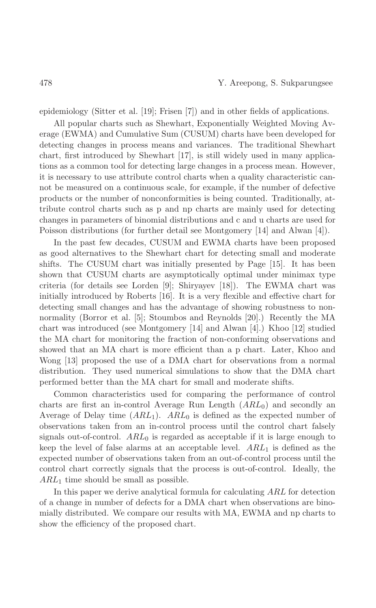epidemiology (Sitter et al. [19]; Frisen [7]) and in other fields of applications.

All popular charts such as Shewhart, Exponentially Weighted Moving Average (EWMA) and Cumulative Sum (CUSUM) charts have been developed for detecting changes in process means and variances. The traditional Shewhart chart, first introduced by Shewhart [17], is still widely used in many applications as a common tool for detecting large changes in a process mean. However, it is necessary to use attribute control charts when a quality characteristic cannot be measured on a continuous scale, for example, if the number of defective products or the number of nonconformities is being counted. Traditionally, attribute control charts such as p and np charts are mainly used for detecting changes in parameters of binomial distributions and c and u charts are used for Poisson distributions (for further detail see Montgomery [14] and Alwan [4]).

In the past few decades, CUSUM and EWMA charts have been proposed as good alternatives to the Shewhart chart for detecting small and moderate shifts. The CUSUM chart was initially presented by Page [15]. It has been shown that CUSUM charts are asymptotically optimal under minimax type criteria (for details see Lorden [9]; Shiryayev [18]). The EWMA chart was initially introduced by Roberts [16]. It is a very flexible and effective chart for detecting small changes and has the advantage of showing robustness to nonnormality (Borror et al. [5]; Stoumbos and Reynolds [20].) Recently the MA chart was introduced (see Montgomery [14] and Alwan [4].) Khoo [12] studied the MA chart for monitoring the fraction of non-conforming observations and showed that an MA chart is more efficient than a p chart. Later, Khoo and Wong [13] proposed the use of a DMA chart for observations from a normal distribution. They used numerical simulations to show that the DMA chart performed better than the MA chart for small and moderate shifts.

Common characteristics used for comparing the performance of control charts are first an in-control Average Run Length  $(ARL_0)$  and secondly an Average of Delay time  $(ARL_1)$ . ARL<sub>0</sub> is defined as the expected number of observations taken from an in-control process until the control chart falsely signals out-of-control.  $ARL_0$  is regarded as acceptable if it is large enough to keep the level of false alarms at an acceptable level.  $ARL<sub>1</sub>$  is defined as the expected number of observations taken from an out-of-control process until the control chart correctly signals that the process is out-of-control. Ideally, the  $ARL<sub>1</sub>$  time should be small as possible.

In this paper we derive analytical formula for calculating ARL for detection of a change in number of defects for a DMA chart when observations are binomially distributed. We compare our results with MA, EWMA and np charts to show the efficiency of the proposed chart.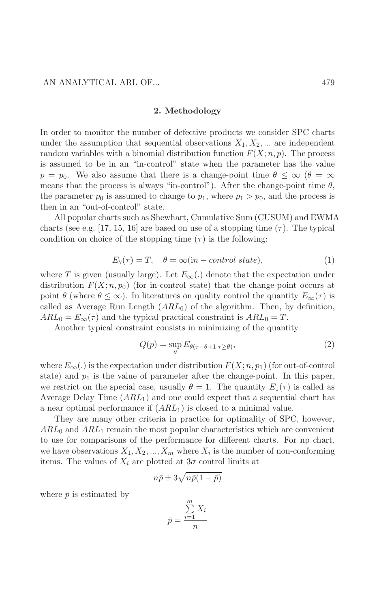#### 2. Methodology

In order to monitor the number of defective products we consider SPC charts under the assumption that sequential observations  $X_1, X_2, ...$  are independent random variables with a binomial distribution function  $F(X; n, p)$ . The process is assumed to be in an "in-control" state when the parameter has the value  $p = p_0$ . We also assume that there is a change-point time  $\theta \leq \infty$  ( $\theta = \infty$ ) means that the process is always "in-control"). After the change-point time  $\theta$ , the parameter  $p_0$  is assumed to change to  $p_1$ , where  $p_1 > p_0$ , and the process is then in an "out-of-control" state.

All popular charts such as Shewhart, Cumulative Sum (CUSUM) and EWMA charts (see e.g. [17, 15, 16] are based on use of a stopping time  $(\tau)$ . The typical condition on choice of the stopping time  $(\tau)$  is the following:

$$
E_{\theta}(\tau) = T, \quad \theta = \infty(\text{in}-control state), \tag{1}
$$

where T is given (usually large). Let  $E_{\infty}(\cdot)$  denote that the expectation under distribution  $F(X; n, p_0)$  (for in-control state) that the change-point occurs at point  $\theta$  (where  $\theta \leq \infty$ ). In literatures on quality control the quantity  $E_{\infty}(\tau)$  is called as Average Run Length  $(ARL_0)$  of the algorithm. Then, by definition,  $ARL_0 = E_{\infty}(\tau)$  and the typical practical constraint is  $ARL_0 = T$ .

Another typical constraint consists in minimizing of the quantity

$$
Q(p) = \sup_{\theta} E_{\theta(\tau - \theta + 1 | \tau \ge \theta)},
$$
\n(2)

where  $E_{\infty}(\cdot)$  is the expectation under distribution  $F(X; n, p_1)$  (for out-of-control state) and  $p_1$  is the value of parameter after the change-point. In this paper, we restrict on the special case, usually  $\theta = 1$ . The quantity  $E_1(\tau)$  is called as Average Delay Time  $(ARL<sub>1</sub>)$  and one could expect that a sequential chart has a near optimal performance if  $(ARL_1)$  is closed to a minimal value.

They are many other criteria in practice for optimality of SPC, however,  $ARL<sub>0</sub>$  and  $ARL<sub>1</sub>$  remain the most popular characteristics which are convenient to use for comparisons of the performance for different charts. For np chart, we have observations  $X_1, X_2, ..., X_m$  where  $X_i$  is the number of non-conforming items. The values of  $X_i$  are plotted at  $3\sigma$  control limits at

$$
n\bar{p} \pm 3\sqrt{n\bar{p}(1-\bar{p})}
$$

where  $\bar{p}$  is estimated by

$$
\bar{p} = \frac{\sum_{i=1}^{m} X_i}{n}
$$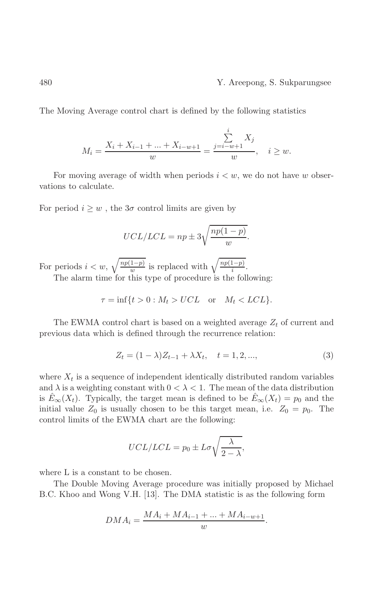#### Y. Areepong, S. Sukparungsee

The Moving Average control chart is defined by the following statistics

$$
M_i = \frac{X_i + X_{i-1} + \dots + X_{i-w+1}}{w} = \frac{\sum_{j=i-w+1}^{i} X_j}{w}, \quad i \ge w.
$$

For moving average of width when periods  $i < w$ , we do not have w observations to calculate.

For period  $i \geq w$ , the  $3\sigma$  control limits are given by

$$
UCL/LCL = np \pm 3\sqrt{\frac{np(1-p)}{w}}
$$

For periods  $i < w$ ,  $\sqrt{\frac{np(1-p)}{w}}$  is replaced with  $\sqrt{\frac{np(1-p)}{i}}$ . The alarm time for this type of procedure is the following:

$$
\tau = \inf\{t > 0 : M_t > UCL \quad \text{or} \quad M_t < LCL\}.
$$

The EWMA control chart is based on a weighted average  $Z_t$  of current and previous data which is defined through the recurrence relation:

$$
Z_t = (1 - \lambda)Z_{t-1} + \lambda X_t, \quad t = 1, 2, ..., \tag{3}
$$

where  $X_t$  is a sequence of independent identically distributed random variables and  $\lambda$  is a weighting constant with  $0 < \lambda < 1$ . The mean of the data distribution is  $E_{\infty}(X_t)$ . Typically, the target mean is defined to be  $E_{\infty}(X_t) = p_0$  and the initial value  $Z_0$  is usually chosen to be this target mean, i.e.  $Z_0 = p_0$ . The control limits of the EWMA chart are the following:

$$
UCL/LCL = p_0 \pm L\sigma \sqrt{\frac{\lambda}{2-\lambda}},
$$

where L is a constant to be chosen.

The Double Moving Average procedure was initially proposed by Michael B.C. Khoo and Wong V.H. [13]. The DMA statistic is as the following form

$$
DMA_i = \frac{MA_i + MA_{i-1} + ... + MA_{i-w+1}}{w}.
$$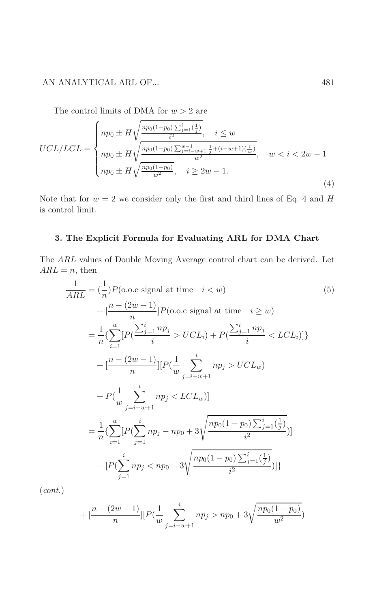## AN ANALYTICAL ARL OF...

The control limits of DMA for  $w > 2$  are

$$
UCL/LCL = \begin{cases} np_0 \pm H \sqrt{\frac{np_0(1-p_0)\sum_{j=1}^i(\frac{1}{j})}{i^2}}, \quad i \le w \\ np_0 \pm H \sqrt{\frac{np_0(1-p_0)\sum_{j=i-w+1}^{w-1}\frac{1}{j} + (i-w+1)(\frac{1}{w})}{w^2}}, \quad w < i < 2w - 1 \\ np_0 \pm H \sqrt{\frac{np_0(1-p_0)}{w^2}}, \quad i \ge 2w - 1. \end{cases} (4)
$$

Note that for  $w = 2$  we consider only the first and third lines of Eq. 4 and H is control limit.

## 3. The Explicit Formula for Evaluating ARL for DMA Chart

The ARL values of Double Moving Average control chart can be derived. Let  $ARL = n$ , then

$$
\frac{1}{ARL} = \left(\frac{1}{n}\right)P(o.o.c \text{ signal at time } i < w) \tag{5}
$$
\n
$$
+ \left[\frac{n - (2w - 1)}{n}\right]P(o.o.c \text{ signal at time } i \geq w) \tag{5}
$$
\n
$$
= \frac{1}{n}\left\{\sum_{i=1}^{w} \left[P\left(\frac{\sum_{j=1}^{i} np_j}{i} > UCL_i\right) + P\left(\frac{\sum_{j=1}^{i} np_j}{i} < LCL_i\right)\right]\right\} \tag{5}
$$
\n
$$
+ \left[\frac{n - (2w - 1)}{n}\right] \left[P\left(\frac{1}{w} \sum_{j=i-w+1}^{i} np_j > UCL_w\right) \right]
$$
\n
$$
+ P\left(\frac{1}{w} \sum_{j=i-w+1}^{i} np_j < LCL_w\right) \right]
$$
\n
$$
= \frac{1}{n}\left\{\sum_{i=1}^{w} \left[P\left(\sum_{j=1}^{i} np_j - np_0 + 3\sqrt{\frac{np_0(1 - p_0)\sum_{j=1}^{i}\left(\frac{1}{j}\right)}{i^2}}\right)\right] \right\}
$$
\n
$$
+ \left[P\left(\sum_{j=1}^{i} np_j < np_0 - 3\sqrt{\frac{np_0(1 - p_0)\sum_{j=1}^{i}\left(\frac{1}{j}\right)}{i^2}}\right)\right]
$$

 $(cont.)$ 

$$
+ \left[\frac{n - (2w - 1)}{n}\right] \left[P\left(\frac{1}{w}\sum_{j=i-w+1}^{i} np_j > np_0 + 3\sqrt{\frac{np_0(1 - p_0)}{w^2}}\right)\right]
$$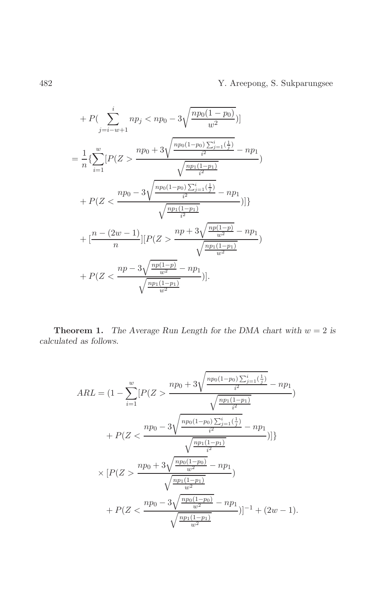Y. Areepong, S. Sukparungsee

$$
+ P\left(\sum_{j=i-w+1}^{i} np_j < np_0 - 3\sqrt{\frac{np_0(1-p_0)}{w^2}}\right)\right]
$$
\n
$$
= \frac{1}{n} \left\{ \sum_{i=1}^{w} \left[ P(Z > \frac{np_0 + 3\sqrt{\frac{np_0(1-p_0)\sum_{j=1}^{i}\left(\frac{1}{j}\right)}{i^2}} - np_1}{\sqrt{\frac{np_1(1-p_1)}{i^2}}}\right) + P\left(Z < \frac{np_0 - 3\sqrt{\frac{np_0(1-p_0)\sum_{j=1}^{i}\left(\frac{1}{j}\right)}{i^2}} - np_1}{\sqrt{\frac{np_1(1-p_1)}{i^2}}}\right)\right]\right\}
$$
\n
$$
+ \left[\frac{n - (2w - 1)}{n}\right] \left[ P(Z > \frac{np + 3\sqrt{\frac{np(1-p)}{w^2}} - np_1}{\sqrt{\frac{np_1(1-p_1)}{w^2}}}\right)
$$
\n
$$
+ P(Z < \frac{np - 3\sqrt{\frac{np(1-p)}{w^2}} - np_1}{\sqrt{\frac{np_1(1-p_1)}{w^2}}}\right)\right].
$$

**Theorem 1.** The Average Run Length for the DMA chart with  $w = 2$  is  $calculated$  as follows.

$$
ARL = (1 - \sum_{i=1}^{w} [P(Z > \frac{np_0 + 3\sqrt{\frac{np_0(1-p_0)\sum_{j=1}^{i}(\frac{1}{j})}{i^2}} - np_1}{\sqrt{\frac{np_1(1-p_1)}{i^2}}} )
$$

$$
+ P(Z < \frac{np_0 - 3\sqrt{\frac{np_0(1-p_0)\sum_{j=1}^{i}(\frac{1}{j})}{i^2}} - np_1}{\sqrt{\frac{np_1(1-p_1)}{i^2}}} )]\}
$$

$$
\times [P(Z > \frac{np_0 + 3\sqrt{\frac{np_0(1-p_0)}{w^2}} - np_1}{\sqrt{\frac{np_1(1-p_1)}{w^2}}})
$$

$$
+ P(Z < \frac{np_0 - 3\sqrt{\frac{np_0(1-p_0)}{w^2}} - np_1}{\sqrt{\frac{np_1(1-p_1)}{w^2}}})]^{-1} + (2w - 1).
$$

 $\sqrt{482}$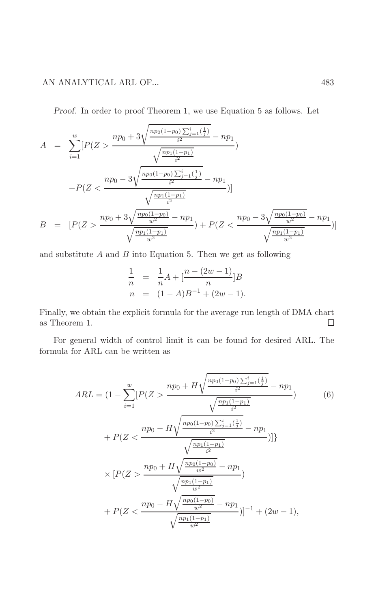## AN ANALYTICAL ARL OF...

Proof. In order to proof Theorem 1, we use Equation 5 as follows. Let

$$
A = \sum_{i=1}^{w} [P(Z > \frac{np_0 + 3\sqrt{\frac{np_0(1-p_0)\sum_{j=1}^{i}(\frac{1}{j})}{i^2}} - np_1}{\sqrt{\frac{np_1(1-p_1)}{i^2}}})
$$
  
+
$$
P(Z < \frac{np_0 - 3\sqrt{\frac{np_0(1-p_0)\sum_{j=1}^{i}(\frac{1}{j})}{i^2}} - np_1}{\sqrt{\frac{np_1(1-p_1)}{i^2}}})]
$$
  

$$
B = [P(Z > \frac{np_0 + 3\sqrt{\frac{np_0(1-p_0)}{w^2}} - np_1}{\sqrt{\frac{np_1(1-p_1)}{w^2}}}) + P(Z < \frac{np_0 - 3\sqrt{\frac{np_0(1-p_0)}{w^2}} - np_1}{\sqrt{\frac{np_1(1-p_1)}{w^2}}})]
$$

and substitute  $A$  and  $B$  into Equation 5. Then we get as following

$$
\frac{1}{n} = \frac{1}{n}A + \left[\frac{n - (2w - 1)}{n}\right]B
$$
  
\n
$$
n = (1 - A)B^{-1} + (2w - 1).
$$

Finally, we obtain the explicit formula for the average run length of DMA chart as Theorem 1.  $\Box$ 

For general width of control limit it can be found for desired ARL. The formula for ARL can be written as

$$
ARL = (1 - \sum_{i=1}^{w} [P(Z > \frac{np_0 + H\sqrt{\frac{np_0(1-p_0)\sum_{j=1}^{i}(\frac{1}{j})}{i^2}} - np_1}{\sqrt{\frac{np_1(1-p_1)}{i^2}} + P(Z < \frac{np_0 - H\sqrt{\frac{np_0(1-p_0)\sum_{j=1}^{i}(\frac{1}{j})}{i^2}} - np_1}{\sqrt{\frac{np_1(1-p_1)}{i^2}}})]\}
$$
\n
$$
\times [P(Z > \frac{np_0 + H\sqrt{\frac{np_0(1-p_0)}{w^2}} - np_1}{\sqrt{\frac{np_1(1-p_1)}{w^2}}}) + P(Z < \frac{np_0 - H\sqrt{\frac{np_0(1-p_0)}{w^2}} - np_1}{\sqrt{\frac{np_1(1-p_1)}{w^2}}})]^{-1} + (2w - 1),
$$
\n(6)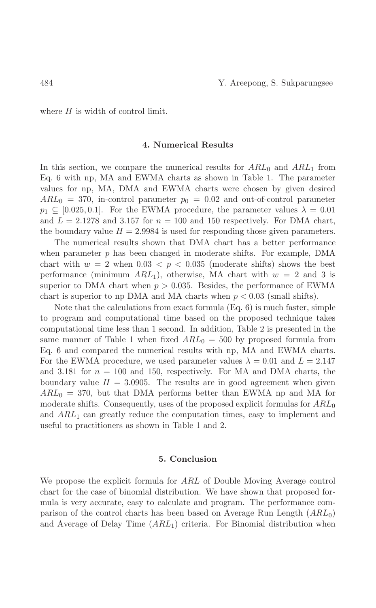where  $H$  is width of control limit.

### 4. Numerical Results

In this section, we compare the numerical results for  $ARL_0$  and  $ARL_1$  from Eq. 6 with np, MA and EWMA charts as shown in Table 1. The parameter values for np, MA, DMA and EWMA charts were chosen by given desired  $ARL_0 = 370$ , in-control parameter  $p_0 = 0.02$  and out-of-control parameter  $p_1 \nsubseteq [0.025, 0.1]$ . For the EWMA procedure, the parameter values  $\lambda = 0.01$ and  $L = 2.1278$  and 3.157 for  $n = 100$  and 150 respectively. For DMA chart, the boundary value  $H = 2.9984$  is used for responding those given parameters.

The numerical results shown that DMA chart has a better performance when parameter  $p$  has been changed in moderate shifts. For example, DMA chart with  $w = 2$  when  $0.03 < p < 0.035$  (moderate shifts) shows the best performance (minimum  $ARL_1$ ), otherwise, MA chart with  $w = 2$  and 3 is superior to DMA chart when  $p > 0.035$ . Besides, the performance of EWMA chart is superior to np DMA and MA charts when  $p < 0.03$  (small shifts).

Note that the calculations from exact formula  $(Eq. 6)$  is much faster, simple to program and computational time based on the proposed technique takes computational time less than 1 second. In addition, Table 2 is presented in the same manner of Table 1 when fixed  $ARL_0 = 500$  by proposed formula from Eq. 6 and compared the numerical results with np, MA and EWMA charts. For the EWMA procedure, we used parameter values  $\lambda = 0.01$  and  $L = 2.147$ and 3.181 for  $n = 100$  and 150, respectively. For MA and DMA charts, the boundary value  $H = 3.0905$ . The results are in good agreement when given  $ARL_0 = 370$ , but that DMA performs better than EWMA np and MA for moderate shifts. Consequently, uses of the proposed explicit formulas for  $ARL_0$ and  $ARL_1$  can greatly reduce the computation times, easy to implement and useful to practitioners as shown in Table 1 and 2.

### 5. Conclusion

We propose the explicit formula for ARL of Double Moving Average control chart for the case of binomial distribution. We have shown that proposed formula is very accurate, easy to calculate and program. The performance comparison of the control charts has been based on Average Run Length  $(ARL_0)$ and Average of Delay Time  $(ARL_1)$  criteria. For Binomial distribution when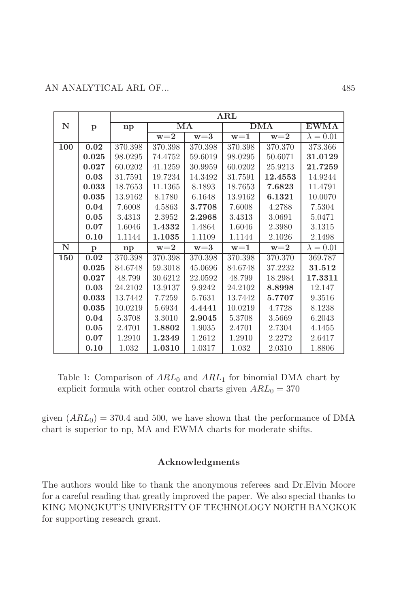|             |              | $\bf ARL$ |         |         |            |         |                  |  |  |
|-------------|--------------|-----------|---------|---------|------------|---------|------------------|--|--|
| $\mathbf N$ | p            | np        | MA      |         | <b>DMA</b> |         | <b>EWMA</b>      |  |  |
|             |              |           | $w=2$   | $w=3$   | $w=1$      | $w=2$   | $\lambda = 0.01$ |  |  |
| 100         | 0.02         | 370.398   | 370.398 | 370.398 | 370.398    | 370.370 | 373.366          |  |  |
|             | 0.025        | 98.0295   | 74.4752 | 59.6019 | 98.0295    | 50.6071 | 31.0129          |  |  |
|             | 0.027        | 60.0202   | 41.1259 | 30.9959 | 60.0202    | 25.9213 | 21.7259          |  |  |
|             | 0.03         | 31.7591   | 19.7234 | 14.3492 | 31.7591    | 12.4553 | 14.9244          |  |  |
|             | 0.033        | 18.7653   | 11.1365 | 8.1893  | 18.7653    | 7.6823  | 11.4791          |  |  |
|             | 0.035        | 13.9162   | 8.1780  | 6.1648  | 13.9162    | 6.1321  | 10.0070          |  |  |
|             | 0.04         | 7.6008    | 4.5863  | 3.7708  | 7.6008     | 4.2788  | 7.5304           |  |  |
|             | 0.05         | 3.4313    | 2.3952  | 2.2968  | 3.4313     | 3.0691  | 5.0471           |  |  |
|             | 0.07         | 1.6046    | 1.4332  | 1.4864  | 1.6046     | 2.3980  | 3.1315           |  |  |
|             | 0.10         | 1.1144    | 1.1035  | 1.1109  | 1.1144     | 2.1026  | 2.1498           |  |  |
| $\mathbf N$ | $\mathbf{p}$ | np        | $w=2$   | $w=3$   | $w=1$      | $w=2$   | $\lambda = 0.01$ |  |  |
| 150         | 0.02         | 370.398   | 370.398 | 370.398 | 370.398    | 370.370 | 369.787          |  |  |
|             | 0.025        | 84.6748   | 59.3018 | 45.0696 | 84.6748    | 37.2232 | 31.512           |  |  |
|             | 0.027        | 48.799    | 30.6212 | 22.0592 | 48.799     | 18.2984 | 17.3311          |  |  |
|             | 0.03         | 24.2102   | 13.9137 | 9.9242  | 24.2102    | 8.8998  | 12.147           |  |  |
|             | 0.033        | 13.7442   | 7.7259  | 5.7631  | 13.7442    | 5.7707  | 9.3516           |  |  |
|             | 0.035        | 10.0219   | 5.6934  | 4.4441  | 10.0219    | 4.7728  | 8.1238           |  |  |
|             | 0.04         | 5.3708    | 3.3010  | 2.9045  | 5.3708     | 3.5669  | 6.2043           |  |  |
|             | 0.05         | 2.4701    | 1.8802  | 1.9035  | 2.4701     | 2.7304  | 4.1455           |  |  |
|             | 0.07         | 1.2910    | 1.2349  | 1.2612  | 1.2910     | 2.2272  | 2.6417           |  |  |
|             | 0.10         | 1.032     | 1.0310  | 1.0317  | 1.032      | 2.0310  | 1.8806           |  |  |

Table 1: Comparison of  $ARL_0$  and  $ARL_1$  for binomial DMA chart by explicit formula with other control charts given  $ARL_0 = 370$ 

given  $(ARL_0) = 370.4$  and 500, we have shown that the performance of DMA chart is superior to np, MA and EWMA charts for moderate shifts.

### Acknowledgments

The authors would like to thank the anonymous referees and Dr.Elvin Moore for a careful reading that greatly improved the paper. We also special thanks to KING MONGKUT'S UNIVERSITY OF TECHNOLOGY NORTH BANGKOK for supporting research grant.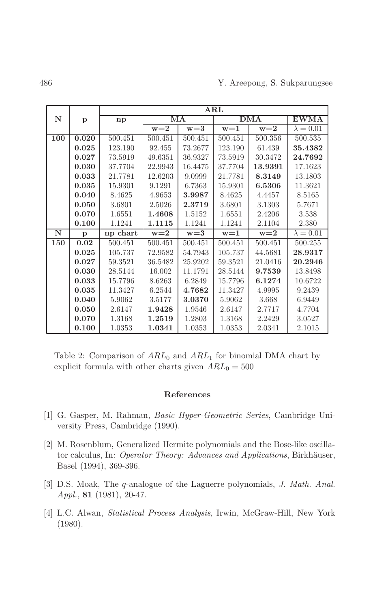|     |              |          | $\bf ARL$ |         |                  |         |                          |  |  |
|-----|--------------|----------|-----------|---------|------------------|---------|--------------------------|--|--|
| N   | $\mathbf{p}$ | np       | MA        |         | <b>DMA</b>       |         | $\overline{\text{EWMA}}$ |  |  |
|     |              |          | $w = 2$   | $w = 3$ | $w=\overline{1}$ | $w=2$   | $\lambda = 0.01$         |  |  |
| 100 | 0.020        | 500.451  | 500.451   | 500.451 | 500.451          | 500.356 | 500.535                  |  |  |
|     | 0.025        | 123.190  | 92.455    | 73.2677 | 123.190          | 61.439  | 35.4382                  |  |  |
|     | 0.027        | 73.5919  | 49.6351   | 36.9327 | 73.5919          | 30.3472 | 24.7692                  |  |  |
|     | 0.030        | 37.7704  | 22.9943   | 16.4475 | 37.7704          | 13.9391 | 17.1623                  |  |  |
|     | 0.033        | 21.7781  | 12.6203   | 9.0999  | 21.7781          | 8.3149  | 13.1803                  |  |  |
|     | 0.035        | 15.9301  | 9.1291    | 6.7363  | 15.9301          | 6.5306  | 11.3621                  |  |  |
|     | 0.040        | 8.4625   | 4.9653    | 3.9987  | 8.4625           | 4.4457  | 8.5165                   |  |  |
|     | 0.050        | 3.6801   | 2.5026    | 2.3719  | 3.6801           | 3.1303  | 5.7671                   |  |  |
|     | 0.070        | 1.6551   | 1.4608    | 1.5152  | 1.6551           | 2.4206  | 3.538                    |  |  |
|     | 0.100        | 1.1241   | 1.1115    | 1.1241  | 1.1241           | 2.1104  | 2.380                    |  |  |
| N   | $\mathbf{p}$ | np chart | $w=2$     | $w=3$   | $w=1$            | $w=2$   | $\lambda = 0.01$         |  |  |
| 150 | 0.02         | 500.451  | 500.451   | 500.451 | 500.451          | 500.451 | 500.255                  |  |  |
|     | 0.025        | 105.737  | 72.9582   | 54.7943 | 105.737          | 44.5681 | 28.9317                  |  |  |
|     | 0.027        | 59.3521  | 36.5482   | 25.9202 | 59.3521          | 21.0416 | 20.2946                  |  |  |
|     | 0.030        | 28.5144  | 16.002    | 11.1791 | 28.5144          | 9.7539  | 13.8498                  |  |  |
|     | 0.033        | 15.7796  | 8.6263    | 6.2849  | 15.7796          | 6.1274  | 10.6722                  |  |  |
|     | 0.035        | 11.3427  | 6.2544    | 4.7682  | 11.3427          | 4.9995  | 9.2439                   |  |  |
|     | 0.040        | 5.9062   | 3.5177    | 3.0370  | 5.9062           | 3.668   | 6.9449                   |  |  |
|     | 0.050        | 2.6147   | 1.9428    | 1.9546  | 2.6147           | 2.7717  | 4.7704                   |  |  |
|     | 0.070        | 1.3168   | 1.2519    | 1.2803  | 1.3168           | 2.2429  | 3.0527                   |  |  |
|     | 0.100        | 1.0353   | 1.0341    | 1.0353  | 1.0353           | 2.0341  | 2.1015                   |  |  |

Table 2: Comparison of  $ARL_0$  and  $ARL_1$  for binomial DMA chart by explicit formula with other charts given  $ARL_0 = 500$ 

## References

- [1] G. Gasper, M. Rahman, *Basic Hyper-Geometric Series*, Cambridge University Press, Cambridge (1990).
- [2] M. Rosenblum, Generalized Hermite polynomials and the Bose-like oscillator calculus, In: Operator Theory: Advances and Applications, Birkhäuser, Basel (1994), 369-396.
- [3] D.S. Moak, The q-analogue of the Laguerre polynomials, J. Math. Anal.  $Appl., 81 (1981), 20-47.$
- [4] L.C. Alwan, Statistical Process Analysis, Irwin, McGraw-Hill, New York  $(1980).$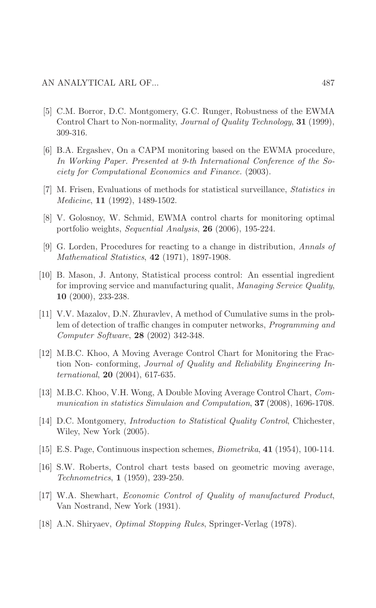- [5] C.M. Borror, D.C. Montgomery, G.C. Runger, Robustness of the EWMA Control Chart to Non-normality, Journal of Quality Technology, 31 (1999), 309-316.
- [6] B.A. Ergashev, On a CAPM monitoring based on the EWMA procedure, In Working Paper. Presented at 9-th International Conference of the Society for Computational Economics and Finance. (2003).
- [7] M. Frisen, Evaluations of methods for statistical surveillance, *Statistics in*  $Medicine, 11 (1992), 1489-1502.$
- [8] V. Golosnoy, W. Schmid, EWMA control charts for monitoring optimal portfolio weights, Sequential Analysis, 26 (2006), 195-224.
- $|9|$  G. Lorden, Procedures for reacting to a change in distribution, Annals of Mathematical Statistics,  $42$  (1971), 1897-1908.
- [10] B. Mason, J. Antony, Statistical process control: An essential ingredient for improving service and manufacturing qualit, Managing Service Quality, 10 $(2000)$ , 233-238.
- [11] V.V. Mazalov, D.N. Zhuravlev, A method of Cumulative sums in the problem of detection of traffic changes in computer networks, *Programming and* Computer Software, 28 (2002) 342-348.
- [12] M.B.C. Khoo, A Moving Average Control Chart for Monitoring the Fraction Non-conforming, Journal of Quality and Reliability Engineering In*ternational*, **20** (2004), 617-635.
- [13] M.B.C. Khoo, V.H. Wong, A Double Moving Average Control Chart, Communication in statistics Simulaion and Computation, 37 (2008), 1696-1708.
- [14] D.C. Montgomery, *Introduction to Statistical Quality Control*, Chichester, Wiley, New York (2005).
- [15] E.S. Page, Continuous inspection schemes, *Biometrika*, **41** (1954), 100-114.
- [16] S.W. Roberts, Control chart tests based on geometric moving average, *Technometrics*, **1** (1959), 239-250.
- [17] W.A. Shewhart, *Economic Control of Quality of manufactured Product*, Van Nostrand, New York (1931).
- [18] A.N. Shiryaev, *Optimal Stopping Rules*, Springer-Verlag (1978).